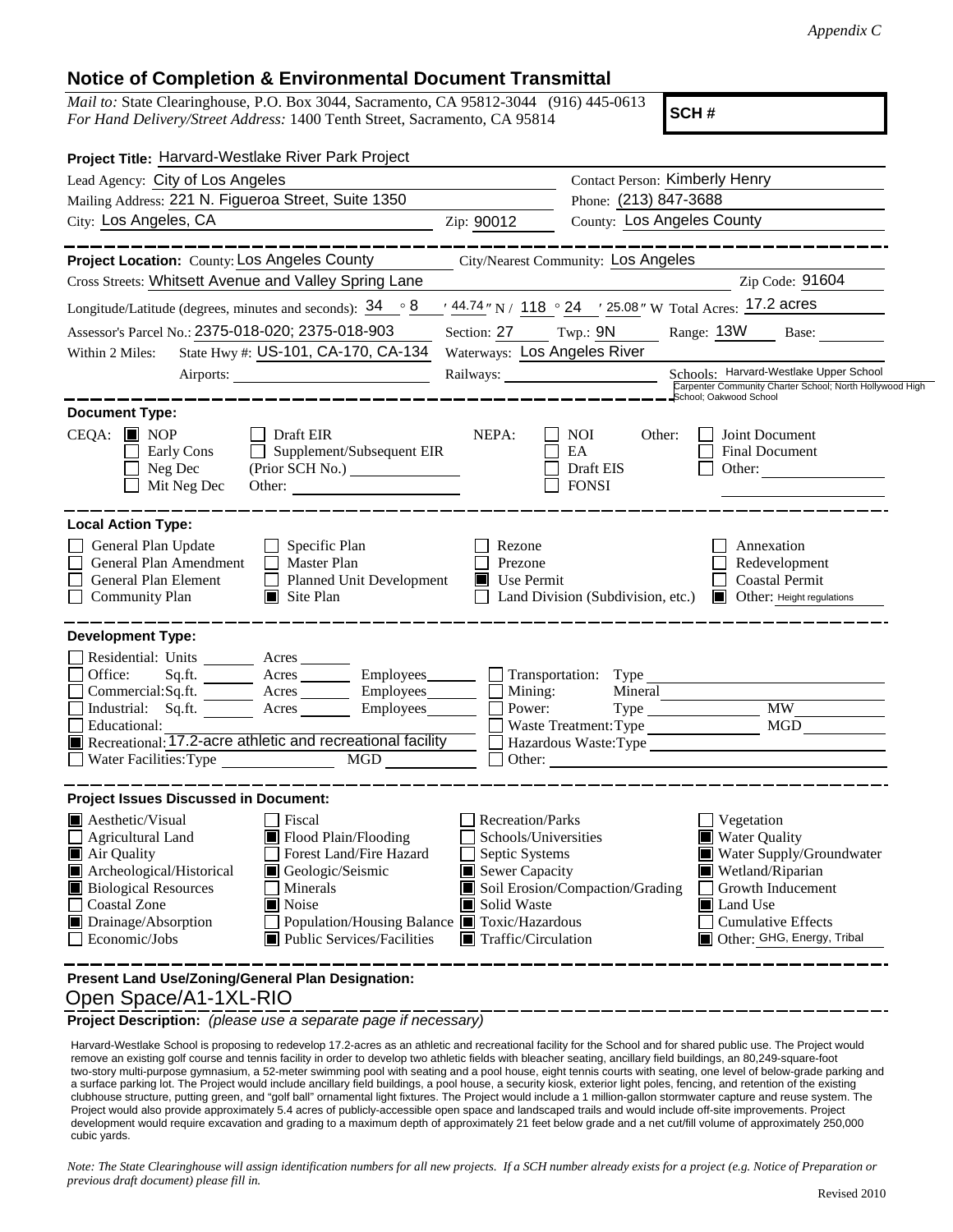## **Notice of Completion & Environmental Document Transmittal**

*Mail to:* State Clearinghouse, P.O. Box 3044, Sacramento, CA 95812-3044 (916) 445-0613 *For Hand Delivery/Street Address:* 1400 Tenth Street, Sacramento, CA 95814

**SCH #**

| Project Title: Harvard-Westlake River Park Project                                                                                                                                                                                                                                                                                                           |                                                                                                                                                                                          |                                                         |                                                                                                                                                                                       |
|--------------------------------------------------------------------------------------------------------------------------------------------------------------------------------------------------------------------------------------------------------------------------------------------------------------------------------------------------------------|------------------------------------------------------------------------------------------------------------------------------------------------------------------------------------------|---------------------------------------------------------|---------------------------------------------------------------------------------------------------------------------------------------------------------------------------------------|
| Lead Agency: City of Los Angeles                                                                                                                                                                                                                                                                                                                             | <b>Contact Person: Kimberly Henry</b>                                                                                                                                                    |                                                         |                                                                                                                                                                                       |
| Mailing Address: 221 N. Figueroa Street, Suite 1350                                                                                                                                                                                                                                                                                                          |                                                                                                                                                                                          | Phone: (213) 847-3688                                   |                                                                                                                                                                                       |
| City: Los Angeles, CA                                                                                                                                                                                                                                                                                                                                        | Zip: 90012                                                                                                                                                                               | <b>County: Los Angeles County</b>                       |                                                                                                                                                                                       |
| Project Location: County: Los Angeles County                                                                                                                                                                                                                                                                                                                 |                                                                                                                                                                                          | City/Nearest Community: Los Angeles                     |                                                                                                                                                                                       |
| Cross Streets: Whitsett Avenue and Valley Spring Lane                                                                                                                                                                                                                                                                                                        |                                                                                                                                                                                          |                                                         | Zip Code: 91604                                                                                                                                                                       |
| Longitude/Latitude (degrees, minutes and seconds): $34 \cdot 8$                                                                                                                                                                                                                                                                                              |                                                                                                                                                                                          |                                                         | $\frac{1}{2}$ 44.74" N / 118 ° 24 $\rightarrow$ 25.08" W Total Acres: 17.2 acres                                                                                                      |
| Assessor's Parcel No.: 2375-018-020; 2375-018-903                                                                                                                                                                                                                                                                                                            | Section: 27 Twp.: 9N                                                                                                                                                                     |                                                         | Range: 13W<br>Base:                                                                                                                                                                   |
| State Hwy #: US-101, CA-170, CA-134<br>Within 2 Miles:                                                                                                                                                                                                                                                                                                       | Waterways: Los Angeles River                                                                                                                                                             |                                                         |                                                                                                                                                                                       |
|                                                                                                                                                                                                                                                                                                                                                              |                                                                                                                                                                                          | Railways:                                               | Schools: Harvard-Westlake Upper School<br>Carpenter Community Charter School; North Hollywood High<br>School; Oakwood School                                                          |
| <b>Document Type:</b>                                                                                                                                                                                                                                                                                                                                        |                                                                                                                                                                                          |                                                         |                                                                                                                                                                                       |
| $CEQA:$ MOP<br>$\Box$ Draft EIR<br>Supplement/Subsequent EIR<br>Early Cons<br>Neg Dec<br>Mit Neg Dec<br>Other:                                                                                                                                                                                                                                               | NEPA:                                                                                                                                                                                    | <b>NOI</b><br>Other:<br>EA<br>Draft EIS<br><b>FONSI</b> | Joint Document<br><b>Final Document</b><br>Other: $\qquad \qquad$                                                                                                                     |
| <b>Local Action Type:</b><br>General Plan Update<br>Specific Plan<br>Г<br>П<br>General Plan Amendment<br>Master Plan<br>General Plan Element<br><b>Planned Unit Development</b><br><b>Community Plan</b><br>$\Box$ Site Plan                                                                                                                                 | Rezone<br>Prezone<br>Use Permit<br>ШL                                                                                                                                                    | Land Division (Subdivision, etc.)                       | Annexation<br>Redevelopment<br><b>Coastal Permit</b><br>Other: Height regulations                                                                                                     |
| <b>Development Type:</b>                                                                                                                                                                                                                                                                                                                                     |                                                                                                                                                                                          |                                                         |                                                                                                                                                                                       |
| Residential: Units _______<br>Acres<br>$\Box$<br>Office:<br>Sq.fit.<br>$\Box$<br>Commercial:Sq.ft.<br>Acres Employees <u>Depart</u><br>Industrial: Sq.ft.<br>Educational:<br>$\blacksquare$ Recreational: $\overline{17.2}$ -acre athletic and recreational facility<br>$\overline{MGD}$<br>$\Box$ Water Facilities: Type                                    | Acres Employees Transportation: Type<br>Employees                                                                                                                                        | Mining:<br>Power:<br>Waste Treatment: Type              | <b>MW</b><br>MGD<br>Hazardous Waste:Type                                                                                                                                              |
| <b>Project Issues Discussed in Document:</b>                                                                                                                                                                                                                                                                                                                 |                                                                                                                                                                                          |                                                         |                                                                                                                                                                                       |
| <b>A</b> esthetic/Visual<br>Fiscal<br>Flood Plain/Flooding<br>Agricultural Land<br>Air Quality<br>Forest Land/Fire Hazard<br>Archeological/Historical<br>Geologic/Seismic<br><b>Biological Resources</b><br>Minerals<br><b>Coastal Zone</b><br>$\Box$<br>$\blacksquare$ Noise<br>Drainage/Absorption<br>$\Box$ Economic/Jobs<br>■ Public Services/Facilities | Recreation/Parks<br>Schools/Universities<br>$\Box$ Septic Systems<br>Sewer Capacity<br>Solid Waste<br>Population/Housing Balance ■ Toxic/Hazardous<br>$\blacksquare$ Traffic/Circulation | Soil Erosion/Compaction/Grading                         | Vegetation<br><b>Water Quality</b><br>Water Supply/Groundwater<br>Wetland/Riparian<br>Growth Inducement<br><b>Land Use</b><br><b>Cumulative Effects</b><br>Other: GHG, Energy, Tribal |
| Present Land Use/Zoning/General Plan Designation:<br>Open Space/A1-1XL-RIO                                                                                                                                                                                                                                                                                   |                                                                                                                                                                                          |                                                         |                                                                                                                                                                                       |

**Project Description:** *(please use a separate page if necessary)*

 Harvard-Westlake School is proposing to redevelop 17.2-acres as an athletic and recreational facility for the School and for shared public use. The Project would remove an existing golf course and tennis facility in order to develop two athletic fields with bleacher seating, ancillary field buildings, an 80,249-square-foot two-story multi-purpose gymnasium, a 52-meter swimming pool with seating and a pool house, eight tennis courts with seating, one level of below-grade parking and a surface parking lot. The Project would include ancillary field buildings, a pool house, a security kiosk, exterior light poles, fencing, and retention of the existing clubhouse structure, putting green, and "golf ball" ornamental light fixtures. The Project would include a 1 million-gallon stormwater capture and reuse system. The Project would also provide approximately 5.4 acres of publicly-accessible open space and landscaped trails and would include off-site improvements. Project development would require excavation and grading to a maximum depth of approximately 21 feet below grade and a net cut/fill volume of approximately 250,000 cubic yards.

*Note: The State Clearinghouse will assign identification numbers for all new projects. If a SCH number already exists for a project (e.g. Notice of Preparation or previous draft document) please fill in.*